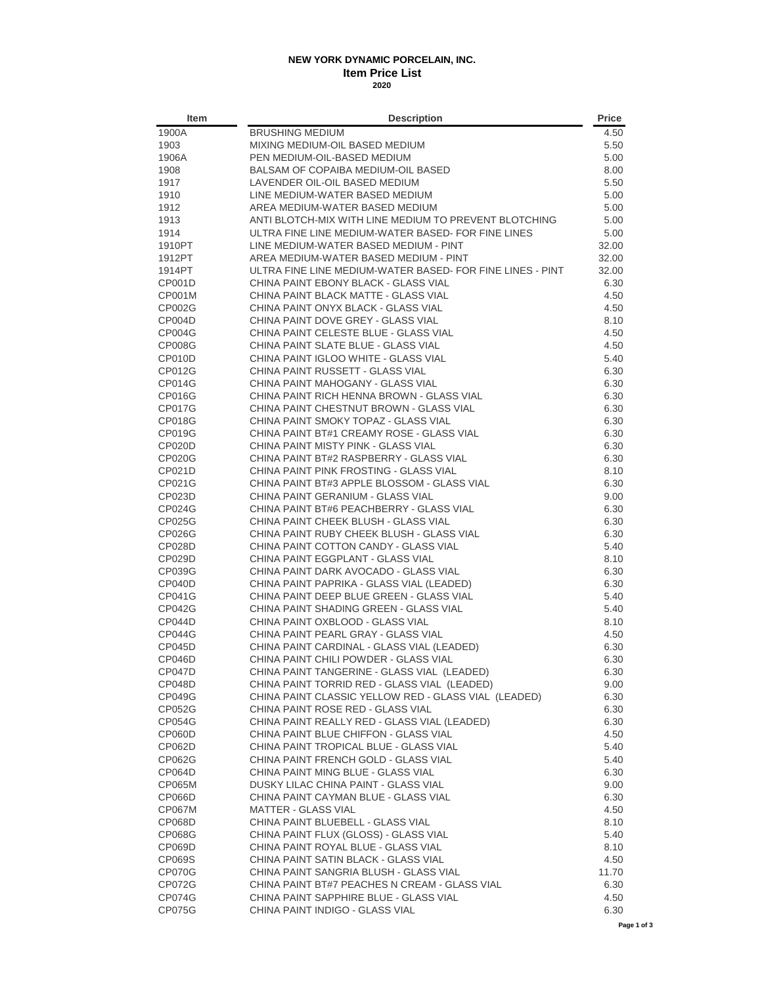## **NEW YORK DYNAMIC PORCELAIN, INC. Item Price List 2020**

| Item             | <b>Description</b>                                                                 | <b>Price</b> |
|------------------|------------------------------------------------------------------------------------|--------------|
| 1900A            | <b>BRUSHING MEDIUM</b>                                                             | 4.50         |
| 1903             | MIXING MEDIUM-OIL BASED MEDIUM                                                     | 5.50         |
| 1906A            | PEN MEDIUM-OIL-BASED MEDIUM                                                        | 5.00         |
| 1908             | BALSAM OF COPAIBA MEDIUM-OIL BASED                                                 | 8.00         |
| 1917             | LAVENDER OIL-OIL BASED MEDIUM                                                      | 5.50         |
| 1910             | LINE MEDIUM-WATER BASED MEDIUM                                                     | 5.00         |
| 1912             | AREA MEDIUM-WATER BASED MEDIUM                                                     | 5.00         |
| 1913             | ANTI BLOTCH-MIX WITH LINE MEDIUM TO PREVENT BLOTCHING                              | 5.00         |
| 1914             | ULTRA FINE LINE MEDIUM-WATER BASED- FOR FINE LINES                                 | 5.00         |
| 1910PT           | LINE MEDIUM-WATER BASED MEDIUM - PINT                                              | 32.00        |
| 1912PT           | AREA MEDIUM-WATER BASED MEDIUM - PINT                                              | 32.00        |
| 1914PT           | ULTRA FINE LINE MEDIUM-WATER BASED- FOR FINE LINES - PINT                          | 32.00        |
| CP001D           | CHINA PAINT EBONY BLACK - GLASS VIAL                                               | 6.30         |
| CP001M           | CHINA PAINT BLACK MATTE - GLASS VIAL                                               | 4.50         |
| CP002G           | CHINA PAINT ONYX BLACK - GLASS VIAL                                                | 4.50         |
| CP004D           | CHINA PAINT DOVE GREY - GLASS VIAL                                                 | 8.10         |
| CP004G           | CHINA PAINT CELESTE BLUE - GLASS VIAL                                              | 4.50         |
| <b>CP008G</b>    | CHINA PAINT SLATE BLUE - GLASS VIAL                                                | 4.50         |
| CP010D           | CHINA PAINT IGLOO WHITE - GLASS VIAL                                               | 5.40         |
| CP012G           | CHINA PAINT RUSSETT - GLASS VIAL                                                   | 6.30         |
| CP014G           | CHINA PAINT MAHOGANY - GLASS VIAL                                                  | 6.30         |
| <b>CP016G</b>    | CHINA PAINT RICH HENNA BROWN - GLASS VIAL                                          | 6.30         |
| <b>CP017G</b>    | CHINA PAINT CHESTNUT BROWN - GLASS VIAL                                            | 6.30         |
| <b>CP018G</b>    | CHINA PAINT SMOKY TOPAZ - GLASS VIAL                                               | 6.30         |
| CP019G           | CHINA PAINT BT#1 CREAMY ROSE - GLASS VIAL                                          | 6.30         |
| CP020D           | CHINA PAINT MISTY PINK - GLASS VIAL                                                | 6.30         |
| CP020G           | CHINA PAINT BT#2 RASPBERRY - GLASS VIAL                                            | 6.30         |
| CP021D           | CHINA PAINT PINK FROSTING - GLASS VIAL                                             | 8.10         |
| CP021G           | CHINA PAINT BT#3 APPLE BLOSSOM - GLASS VIAL                                        | 6.30         |
| CP023D           | CHINA PAINT GERANIUM - GLASS VIAL                                                  | 9.00         |
| CP024G           | CHINA PAINT BT#6 PEACHBERRY - GLASS VIAL                                           | 6.30         |
| CP025G           | CHINA PAINT CHEEK BLUSH - GLASS VIAL                                               | 6.30         |
| CP026G           | CHINA PAINT RUBY CHEEK BLUSH - GLASS VIAL                                          | 6.30         |
| CP028D           | CHINA PAINT COTTON CANDY - GLASS VIAL                                              | 5.40         |
| CP029D           | CHINA PAINT EGGPLANT - GLASS VIAL                                                  | 8.10         |
| CP039G<br>CP040D | CHINA PAINT DARK AVOCADO - GLASS VIAL<br>CHINA PAINT PAPRIKA - GLASS VIAL (LEADED) | 6.30<br>6.30 |
| CP041G           | CHINA PAINT DEEP BLUE GREEN - GLASS VIAL                                           | 5.40         |
| CP042G           | CHINA PAINT SHADING GREEN - GLASS VIAL                                             | 5.40         |
| CP044D           | CHINA PAINT OXBLOOD - GLASS VIAL                                                   | 8.10         |
| CP044G           | CHINA PAINT PEARL GRAY - GLASS VIAL                                                | 4.50         |
| CP045D           | CHINA PAINT CARDINAL - GLASS VIAL (LEADED)                                         | 6.30         |
| CP046D           | CHINA PAINT CHILI POWDER - GLASS VIAL                                              | 6.30         |
| <b>CP047D</b>    | CHINA PAINT TANGERINE - GLASS VIAL (LEADED)                                        | 6.30         |
| CP048D           | CHINA PAINT TORRID RED - GLASS VIAL (LEADED)                                       | 9.00         |
| CP049G           | CHINA PAINT CLASSIC YELLOW RED - GLASS VIAL (LEADED)                               | 6.30         |
| CP052G           | CHINA PAINT ROSE RED - GLASS VIAL                                                  | 6.30         |
| CP054G           | CHINA PAINT REALLY RED - GLASS VIAL (LEADED)                                       | 6.30         |
| CP060D           | CHINA PAINT BLUE CHIFFON - GLASS VIAL                                              | 4.50         |
| CP062D           | CHINA PAINT TROPICAL BLUE - GLASS VIAL                                             | 5.40         |
| CP062G           | CHINA PAINT FRENCH GOLD - GLASS VIAL                                               | 5.40         |
| CP064D           | CHINA PAINT MING BLUE - GLASS VIAL                                                 | 6.30         |
| CP065M           | DUSKY LILAC CHINA PAINT - GLASS VIAL                                               | 9.00         |
| CP066D           | CHINA PAINT CAYMAN BLUE - GLASS VIAL                                               | 6.30         |
| <b>CP067M</b>    | <b>MATTER - GLASS VIAL</b>                                                         | 4.50         |
| CP068D           | CHINA PAINT BLUEBELL - GLASS VIAL                                                  | 8.10         |
| CP068G           | CHINA PAINT FLUX (GLOSS) - GLASS VIAL                                              | 5.40         |
| CP069D           | CHINA PAINT ROYAL BLUE - GLASS VIAL                                                | 8.10         |
| CP069S           | CHINA PAINT SATIN BLACK - GLASS VIAL                                               | 4.50         |
| CP070G           | CHINA PAINT SANGRIA BLUSH - GLASS VIAL                                             | 11.70        |
| CP072G           | CHINA PAINT BT#7 PEACHES N CREAM - GLASS VIAL                                      | 6.30         |
| CP074G           | CHINA PAINT SAPPHIRE BLUE - GLASS VIAL                                             | 4.50         |
| CP075G           | CHINA PAINT INDIGO - GLASS VIAL                                                    | 6.30         |
|                  |                                                                                    |              |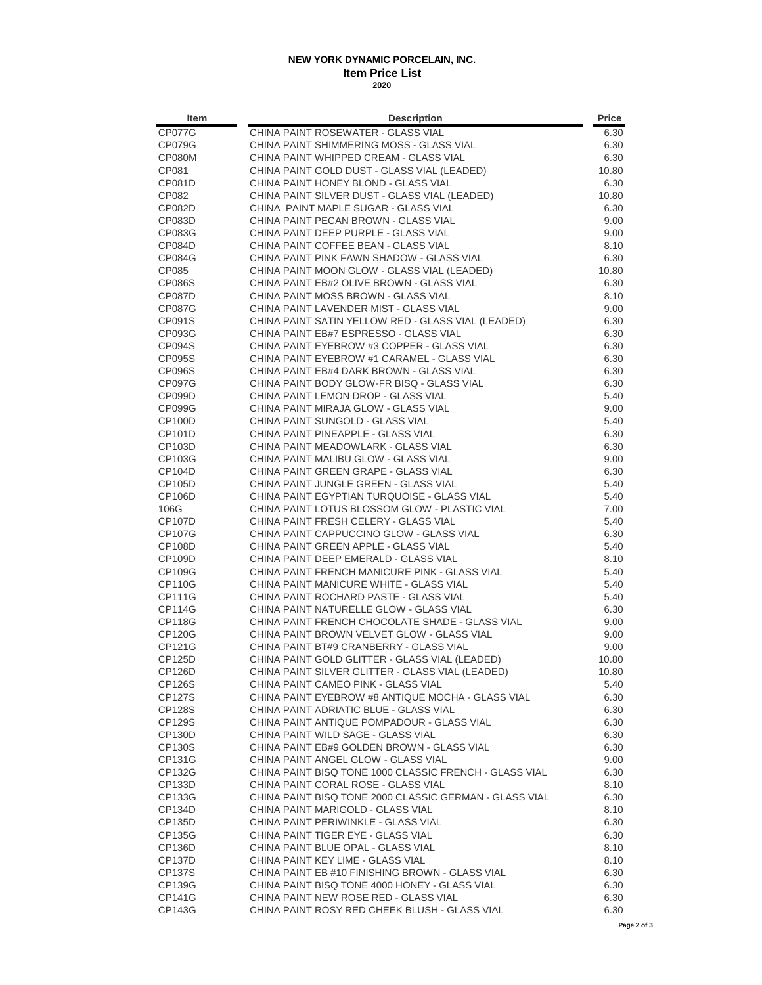## **NEW YORK DYNAMIC PORCELAIN, INC. Item Price List 2020**

| Item                           | <b>Description</b>                                                                          | Price         |
|--------------------------------|---------------------------------------------------------------------------------------------|---------------|
| <b>CP077G</b>                  | CHINA PAINT ROSEWATER - GLASS VIAL                                                          | 6.30          |
| <b>CP079G</b>                  | CHINA PAINT SHIMMERING MOSS - GLASS VIAL                                                    | 6.30          |
| CP080M                         | CHINA PAINT WHIPPED CREAM - GLASS VIAL                                                      | 6.30          |
| CP081                          | CHINA PAINT GOLD DUST - GLASS VIAL (LEADED)                                                 | 10.80         |
| <b>CP081D</b>                  | CHINA PAINT HONEY BLOND - GLASS VIAL                                                        | 6.30          |
| CP082                          | CHINA PAINT SILVER DUST - GLASS VIAL (LEADED)                                               | 10.80         |
| CP082D                         | CHINA PAINT MAPLE SUGAR - GLASS VIAL                                                        | 6.30          |
| CP083D                         | CHINA PAINT PECAN BROWN - GLASS VIAL                                                        | 9.00          |
| CP083G                         | CHINA PAINT DEEP PURPLE - GLASS VIAL                                                        | 9.00          |
| <b>CP084D</b>                  | CHINA PAINT COFFEE BEAN - GLASS VIAL                                                        | 8.10          |
| CP084G                         | CHINA PAINT PINK FAWN SHADOW - GLASS VIAL                                                   | 6.30<br>10.80 |
| CP085<br><b>CP086S</b>         | CHINA PAINT MOON GLOW - GLASS VIAL (LEADED)<br>CHINA PAINT EB#2 OLIVE BROWN - GLASS VIAL    | 6.30          |
| <b>CP087D</b>                  | CHINA PAINT MOSS BROWN - GLASS VIAL                                                         | 8.10          |
| <b>CP087G</b>                  | CHINA PAINT LAVENDER MIST - GLASS VIAL                                                      | 9.00          |
| CP091S                         | CHINA PAINT SATIN YELLOW RED - GLASS VIAL (LEADED)                                          | 6.30          |
| CP093G                         | CHINA PAINT EB#7 ESPRESSO - GLASS VIAL                                                      | 6.30          |
| <b>CP094S</b>                  | CHINA PAINT EYEBROW #3 COPPER - GLASS VIAL                                                  | 6.30          |
| <b>CP095S</b>                  | CHINA PAINT EYEBROW #1 CARAMEL - GLASS VIAL                                                 | 6.30          |
| <b>CP096S</b>                  | CHINA PAINT EB#4 DARK BROWN - GLASS VIAL                                                    | 6.30          |
| CP097G                         | CHINA PAINT BODY GLOW-FR BISQ - GLASS VIAL                                                  | 6.30          |
| CP099D                         | CHINA PAINT LEMON DROP - GLASS VIAL                                                         | 5.40          |
| CP099G                         | CHINA PAINT MIRAJA GLOW - GLASS VIAL                                                        | 9.00          |
| <b>CP100D</b>                  | CHINA PAINT SUNGOLD - GLASS VIAL                                                            | 5.40          |
| CP101D                         | CHINA PAINT PINEAPPLE - GLASS VIAL                                                          | 6.30          |
| CP103D                         | CHINA PAINT MEADOWLARK - GLASS VIAL                                                         | 6.30          |
| CP103G                         | CHINA PAINT MALIBU GLOW - GLASS VIAL                                                        | 9.00          |
| CP104D                         | CHINA PAINT GREEN GRAPE - GLASS VIAL                                                        | 6.30          |
| CP105D                         | CHINA PAINT JUNGLE GREEN - GLASS VIAL                                                       | 5.40          |
| <b>CP106D</b>                  | CHINA PAINT EGYPTIAN TURQUOISE - GLASS VIAL                                                 | 5.40          |
| 106G                           | CHINA PAINT LOTUS BLOSSOM GLOW - PLASTIC VIAL                                               | 7.00          |
| <b>CP107D</b>                  | CHINA PAINT FRESH CELERY - GLASS VIAL                                                       | 5.40          |
| CP107G                         | CHINA PAINT CAPPUCCINO GLOW - GLASS VIAL                                                    | 6.30          |
| <b>CP108D</b><br><b>CP109D</b> | CHINA PAINT GREEN APPLE - GLASS VIAL<br>CHINA PAINT DEEP EMERALD - GLASS VIAL               | 5.40          |
| CP109G                         | CHINA PAINT FRENCH MANICURE PINK - GLASS VIAL                                               | 8.10<br>5.40  |
| <b>CP110G</b>                  | CHINA PAINT MANICURE WHITE - GLASS VIAL                                                     | 5.40          |
| <b>CP111G</b>                  | CHINA PAINT ROCHARD PASTE - GLASS VIAL                                                      | 5.40          |
| CP114G                         | CHINA PAINT NATURELLE GLOW - GLASS VIAL                                                     | 6.30          |
| <b>CP118G</b>                  | CHINA PAINT FRENCH CHOCOLATE SHADE - GLASS VIAL                                             | 9.00          |
| <b>CP120G</b>                  | CHINA PAINT BROWN VELVET GLOW - GLASS VIAL                                                  | 9.00          |
| CP121G                         | CHINA PAINT BT#9 CRANBERRY - GLASS VIAL                                                     | 9.00          |
| CP125D                         | CHINA PAINT GOLD GLITTER - GLASS VIAL (LEADED)                                              | 10.80         |
| CP126D                         | CHINA PAINT SILVER GLITTER - GLASS VIAL (LEADED)                                            | 10.80         |
| CP126S                         | CHINA PAINT CAMEO PINK - GLASS VIAL                                                         | 5.40          |
| CP127S                         | CHINA PAINT EYEBROW #8 ANTIQUE MOCHA - GLASS VIAL                                           | 6.30          |
| CP128S                         | CHINA PAINT ADRIATIC BLUE - GLASS VIAL                                                      | 6.30          |
| <b>CP129S</b>                  | CHINA PAINT ANTIQUE POMPADOUR - GLASS VIAL                                                  | 6.30          |
| CP <sub>130</sub> D            | CHINA PAINT WILD SAGE - GLASS VIAL                                                          | 6.30          |
| CP130S                         | CHINA PAINT EB#9 GOLDEN BROWN - GLASS VIAL                                                  | 6.30          |
| CP131G                         | CHINA PAINT ANGEL GLOW - GLASS VIAL                                                         | 9.00          |
| CP132G                         | CHINA PAINT BISQ TONE 1000 CLASSIC FRENCH - GLASS VIAL                                      | 6.30          |
| CP133D                         | CHINA PAINT CORAL ROSE - GLASS VIAL                                                         | 8.10          |
| CP133G<br>CP134D               | CHINA PAINT BISQ TONE 2000 CLASSIC GERMAN - GLASS VIAL<br>CHINA PAINT MARIGOLD - GLASS VIAL | 6.30<br>8.10  |
| CP <sub>135</sub> D            | CHINA PAINT PERIWINKLE - GLASS VIAL                                                         | 6.30          |
| CP135G                         | CHINA PAINT TIGER EYE - GLASS VIAL                                                          | 6.30          |
| CP136D                         | CHINA PAINT BLUE OPAL - GLASS VIAL                                                          | 8.10          |
| CP137D                         | CHINA PAINT KEY LIME - GLASS VIAL                                                           | 8.10          |
| CP137S                         | CHINA PAINT EB #10 FINISHING BROWN - GLASS VIAL                                             | 6.30          |
| CP139G                         | CHINA PAINT BISQ TONE 4000 HONEY - GLASS VIAL                                               | 6.30          |
| CP141G                         | CHINA PAINT NEW ROSE RED - GLASS VIAL                                                       | 6.30          |
| CP143G                         | CHINA PAINT ROSY RED CHEEK BLUSH - GLASS VIAL                                               | 6.30          |
|                                |                                                                                             |               |